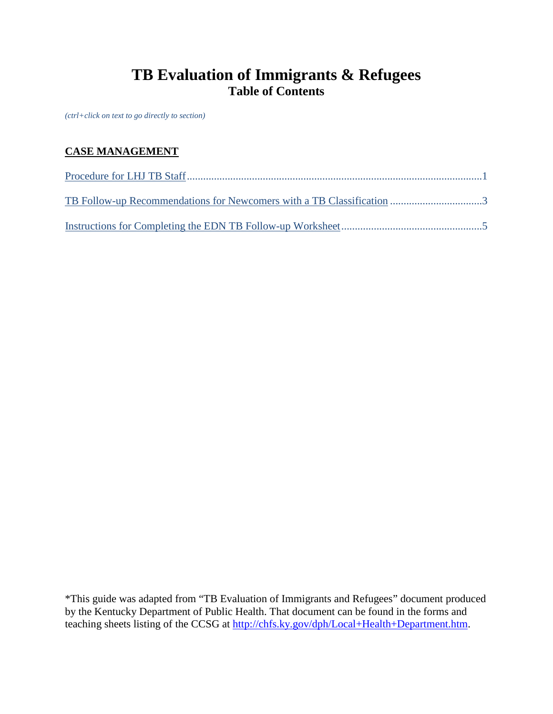# **TB Evaluation of Immigrants & Refugees Table of Contents**

*(ctrl+click on text to go directly to section)*

# **CASE MANAGEMENT**

\*This guide was adapted from "TB Evaluation of Immigrants and Refugees" document produced by the Kentucky Department of Public Health. That document can be found in the forms and teaching sheets listing of the CCSG at [http://chfs.ky.gov/dph/Local+Health+Department.htm.](http://chfs.ky.gov/dph/Local+Health+Department.htm)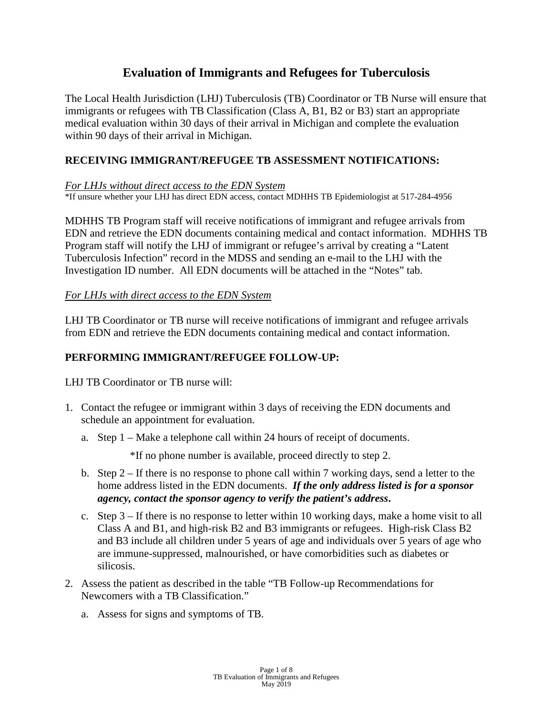# **Evaluation of Immigrants and Refugees for Tuberculosis**

The Local Health Jurisdiction (LHJ) Tuberculosis (TB) Coordinator or TB Nurse will ensure that immigrants or refugees with TB Classification (Class A, B1, B2 or B3) start an appropriate medical evaluation within 30 days of their arrival in Michigan and complete the evaluation within 90 days of their arrival in Michigan.

## <span id="page-1-0"></span>**RECEIVING IMMIGRANT/REFUGEE TB ASSESSMENT NOTIFICATIONS:**

#### *For LHJs without direct access to the EDN System*

\*If unsure whether your LHJ has direct EDN access, contact MDHHS TB Epidemiologist at 517-284-4956

MDHHS TB Program staff will receive notifications of immigrant and refugee arrivals from EDN and retrieve the EDN documents containing medical and contact information. MDHHS TB Program staff will notify the LHJ of immigrant or refugee's arrival by creating a "Latent Tuberculosis Infection" record in the MDSS and sending an e-mail to the LHJ with the Investigation ID number. All EDN documents will be attached in the "Notes" tab.

#### *For LHJs with direct access to the EDN System*

LHJ TB Coordinator or TB nurse will receive notifications of immigrant and refugee arrivals from EDN and retrieve the EDN documents containing medical and contact information.

## **PERFORMING IMMIGRANT/REFUGEE FOLLOW-UP:**

LHJ TB Coordinator or TB nurse will:

- 1. Contact the refugee or immigrant within 3 days of receiving the EDN documents and schedule an appointment for evaluation.
	- a. Step 1 Make a telephone call within 24 hours of receipt of documents.

\*If no phone number is available, proceed directly to step 2.

- b. Step 2 If there is no response to phone call within 7 working days, send a letter to the home address listed in the EDN documents. *If the only address listed is for a sponsor agency, contact the sponsor agency to verify the patient's address***.**
- c. Step  $3 If$  there is no response to letter within 10 working days, make a home visit to all Class A and B1, and high-risk B2 and B3 immigrants or refugees. High-risk Class B2 and B3 include all children under 5 years of age and individuals over 5 years of age who are immune-suppressed, malnourished, or have comorbidities such as diabetes or silicosis.
- 2. Assess the patient as described in the table "TB Follow-up Recommendations for Newcomers with a TB Classification."
	- a. Assess for signs and symptoms of TB.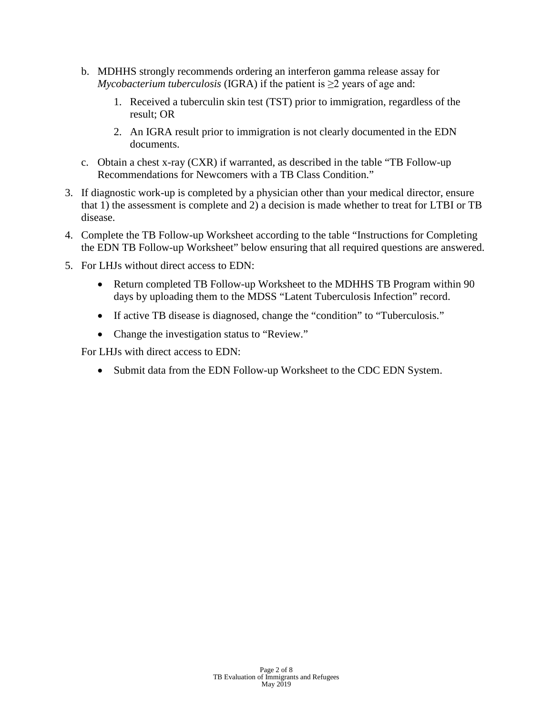- b. MDHHS strongly recommends ordering an interferon gamma release assay for *Mycobacterium tuberculosis* (IGRA) if the patient is  $\geq$ 2 years of age and:
	- 1. Received a tuberculin skin test (TST) prior to immigration, regardless of the result; OR
	- 2. An IGRA result prior to immigration is not clearly documented in the EDN documents.
- c. Obtain a chest x-ray (CXR) if warranted, as described in the table "TB Follow-up Recommendations for Newcomers with a TB Class Condition."
- 3. If diagnostic work-up is completed by a physician other than your medical director, ensure that 1) the assessment is complete and 2) a decision is made whether to treat for LTBI or TB disease.
- 4. Complete the TB Follow-up Worksheet according to the table "Instructions for Completing the EDN TB Follow-up Worksheet" below ensuring that all required questions are answered.
- 5. For LHJs without direct access to EDN:
	- Return completed TB Follow-up Worksheet to the MDHHS TB Program within 90 days by uploading them to the MDSS "Latent Tuberculosis Infection" record.
	- If active TB disease is diagnosed, change the "condition" to "Tuberculosis."
	- Change the investigation status to "Review."

For LHJs with direct access to EDN:

• Submit data from the EDN Follow-up Worksheet to the CDC EDN System.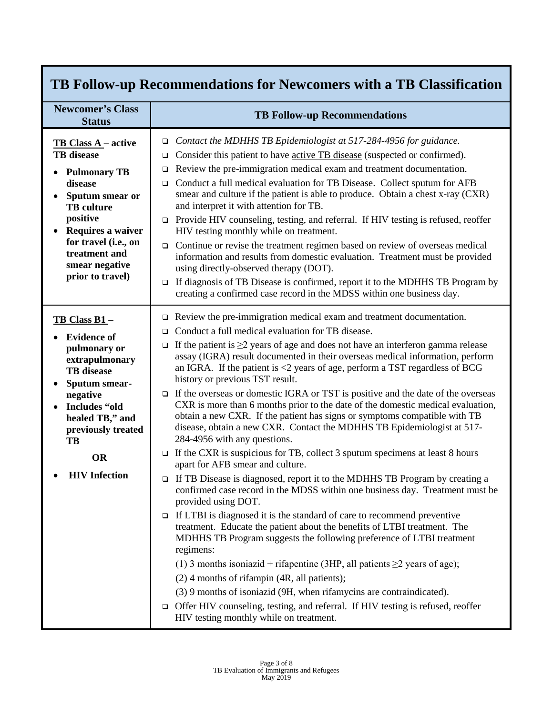<span id="page-3-0"></span>

| TB Follow-up Recommendations for Newcomers with a TB Classification                                                                                                                                                                       |                                                                                                                                                                                                                                                                                                                                                                                                                                                                                                                                                                                                                                                                                                                                                                                                                                                                                                                                                                                                                                                                                                                                                                                                                                                                                                                                                                                                                                                                                                                                                                                                                                                                                                                                                     |  |  |
|-------------------------------------------------------------------------------------------------------------------------------------------------------------------------------------------------------------------------------------------|-----------------------------------------------------------------------------------------------------------------------------------------------------------------------------------------------------------------------------------------------------------------------------------------------------------------------------------------------------------------------------------------------------------------------------------------------------------------------------------------------------------------------------------------------------------------------------------------------------------------------------------------------------------------------------------------------------------------------------------------------------------------------------------------------------------------------------------------------------------------------------------------------------------------------------------------------------------------------------------------------------------------------------------------------------------------------------------------------------------------------------------------------------------------------------------------------------------------------------------------------------------------------------------------------------------------------------------------------------------------------------------------------------------------------------------------------------------------------------------------------------------------------------------------------------------------------------------------------------------------------------------------------------------------------------------------------------------------------------------------------------|--|--|
| <b>Newcomer's Class</b><br><b>Status</b>                                                                                                                                                                                                  | <b>TB Follow-up Recommendations</b>                                                                                                                                                                                                                                                                                                                                                                                                                                                                                                                                                                                                                                                                                                                                                                                                                                                                                                                                                                                                                                                                                                                                                                                                                                                                                                                                                                                                                                                                                                                                                                                                                                                                                                                 |  |  |
| <b>TB Class A</b> – active<br><b>TB</b> disease<br><b>Pulmonary TB</b><br>disease<br>Sputum smear or<br><b>TB</b> culture<br>positive<br>Requires a waiver<br>for travel (i.e., on<br>treatment and<br>smear negative<br>prior to travel) | Contact the MDHHS TB Epidemiologist at 517-284-4956 for guidance.<br>$\Box$<br>Consider this patient to have active TB disease (suspected or confirmed).<br>❏<br>Review the pre-immigration medical exam and treatment documentation.<br>$\Box$<br>□ Conduct a full medical evaluation for TB Disease. Collect sputum for AFB<br>smear and culture if the patient is able to produce. Obtain a chest x-ray (CXR)<br>and interpret it with attention for TB.<br>Provide HIV counseling, testing, and referral. If HIV testing is refused, reoffer<br>$\Box$<br>HIV testing monthly while on treatment.<br>$\Box$ Continue or revise the treatment regimen based on review of overseas medical<br>information and results from domestic evaluation. Treatment must be provided<br>using directly-observed therapy (DOT).<br>If diagnosis of TB Disease is confirmed, report it to the MDHHS TB Program by<br>$\Box$<br>creating a confirmed case record in the MDSS within one business day.                                                                                                                                                                                                                                                                                                                                                                                                                                                                                                                                                                                                                                                                                                                                                          |  |  |
| TB Class B1-<br><b>Evidence of</b><br>pulmonary or<br>extrapulmonary<br><b>TB</b> disease<br>Sputum smear-<br>negative<br>Includes "old<br>healed TB," and<br>previously treated<br>TB<br><b>OR</b><br><b>HIV</b> Infection               | $\Box$ Review the pre-immigration medical exam and treatment documentation.<br>Conduct a full medical evaluation for TB disease.<br>□<br>If the patient is $\geq$ years of age and does not have an interferon gamma release<br>$\Box$<br>assay (IGRA) result documented in their overseas medical information, perform<br>an IGRA. If the patient is $\langle 2 \rangle$ years of age, perform a TST regardless of BCG<br>history or previous TST result.<br>$\Box$ If the overseas or domestic IGRA or TST is positive and the date of the overseas<br>CXR is more than 6 months prior to the date of the domestic medical evaluation,<br>obtain a new CXR. If the patient has signs or symptoms compatible with TB<br>disease, obtain a new CXR. Contact the MDHHS TB Epidemiologist at 517-<br>284-4956 with any questions.<br>$\Box$ If the CXR is suspicious for TB, collect 3 sputum specimens at least 8 hours<br>apart for AFB smear and culture.<br>If TB Disease is diagnosed, report it to the MDHHS TB Program by creating a<br>confirmed case record in the MDSS within one business day. Treatment must be<br>provided using DOT.<br>$\Box$ If LTBI is diagnosed it is the standard of care to recommend preventive<br>treatment. Educate the patient about the benefits of LTBI treatment. The<br>MDHHS TB Program suggests the following preference of LTBI treatment<br>regimens:<br>(1) 3 months isoniazid + rifapentine (3HP, all patients $\geq$ 2 years of age);<br>$(2)$ 4 months of rifampin (4R, all patients);<br>(3) 9 months of isoniazid (9H, when rifamycins are contraindicated).<br>Offer HIV counseling, testing, and referral. If HIV testing is refused, reoffer<br>□<br>HIV testing monthly while on treatment. |  |  |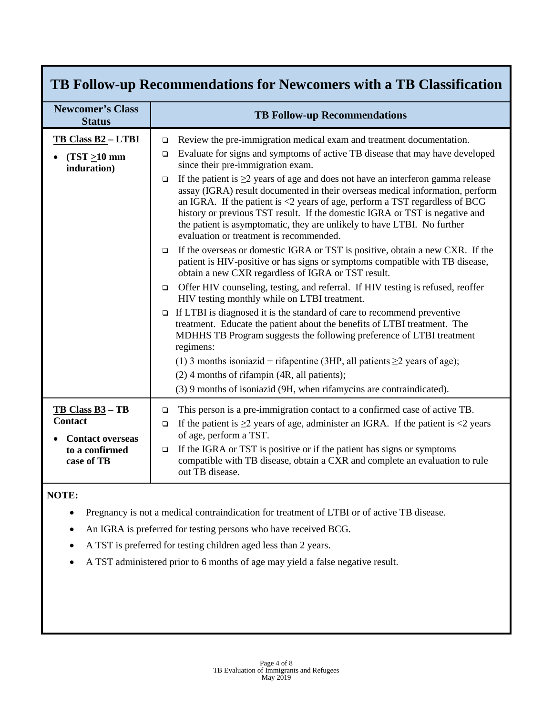| TB Follow-up Recommendations for Newcomers with a TB Classification |                                                                                                                                                                                                                                                                                                                                                                                                                                                                                       |  |  |
|---------------------------------------------------------------------|---------------------------------------------------------------------------------------------------------------------------------------------------------------------------------------------------------------------------------------------------------------------------------------------------------------------------------------------------------------------------------------------------------------------------------------------------------------------------------------|--|--|
| <b>Newcomer's Class</b><br><b>Status</b>                            | <b>TB Follow-up Recommendations</b>                                                                                                                                                                                                                                                                                                                                                                                                                                                   |  |  |
| TB Class B2 - LTBI                                                  | Review the pre-immigration medical exam and treatment documentation.<br>▫                                                                                                                                                                                                                                                                                                                                                                                                             |  |  |
| $(TST \geq 10$ mm<br>induration)                                    | Evaluate for signs and symptoms of active TB disease that may have developed<br>$\Box$<br>since their pre-immigration exam.                                                                                                                                                                                                                                                                                                                                                           |  |  |
|                                                                     | If the patient is $\geq$ 2 years of age and does not have an interferon gamma release<br>$\Box$<br>assay (IGRA) result documented in their overseas medical information, perform<br>an IGRA. If the patient is $\langle 2 \rangle$ years of age, perform a TST regardless of BCG<br>history or previous TST result. If the domestic IGRA or TST is negative and<br>the patient is asymptomatic, they are unlikely to have LTBI. No further<br>evaluation or treatment is recommended. |  |  |
|                                                                     | If the overseas or domestic IGRA or TST is positive, obtain a new CXR. If the<br>$\Box$<br>patient is HIV-positive or has signs or symptoms compatible with TB disease,<br>obtain a new CXR regardless of IGRA or TST result.                                                                                                                                                                                                                                                         |  |  |
|                                                                     | Offer HIV counseling, testing, and referral. If HIV testing is refused, reoffer<br>$\Box$<br>HIV testing monthly while on LTBI treatment.                                                                                                                                                                                                                                                                                                                                             |  |  |
|                                                                     | If LTBI is diagnosed it is the standard of care to recommend preventive<br>$\Box$<br>treatment. Educate the patient about the benefits of LTBI treatment. The<br>MDHHS TB Program suggests the following preference of LTBI treatment<br>regimens:                                                                                                                                                                                                                                    |  |  |
|                                                                     | (1) 3 months isoniazid + rifapentine (3HP, all patients $\geq$ 2 years of age);                                                                                                                                                                                                                                                                                                                                                                                                       |  |  |
|                                                                     | $(2)$ 4 months of rifampin (4R, all patients);                                                                                                                                                                                                                                                                                                                                                                                                                                        |  |  |
|                                                                     | (3) 9 months of isoniazid (9H, when rifamycins are contraindicated).                                                                                                                                                                                                                                                                                                                                                                                                                  |  |  |
| $TB Class B3 - TB$<br>Contact<br><b>Contact overseas</b>            | This person is a pre-immigration contact to a confirmed case of active TB.<br>$\Box$<br>If the patient is $\geq$ 2 years of age, administer an IGRA. If the patient is $\lt$ 2 years<br>$\Box$<br>of age, perform a TST.                                                                                                                                                                                                                                                              |  |  |
| to a confirmed<br>case of TB                                        | If the IGRA or TST is positive or if the patient has signs or symptoms<br>$\Box$<br>compatible with TB disease, obtain a CXR and complete an evaluation to rule<br>out TB disease.                                                                                                                                                                                                                                                                                                    |  |  |

### **NOTE:**

- Pregnancy is not a medical contraindication for treatment of LTBI or of active TB disease.
- An IGRA is preferred for testing persons who have received BCG.
- A TST is preferred for testing children aged less than 2 years.
- A TST administered prior to 6 months of age may yield a false negative result.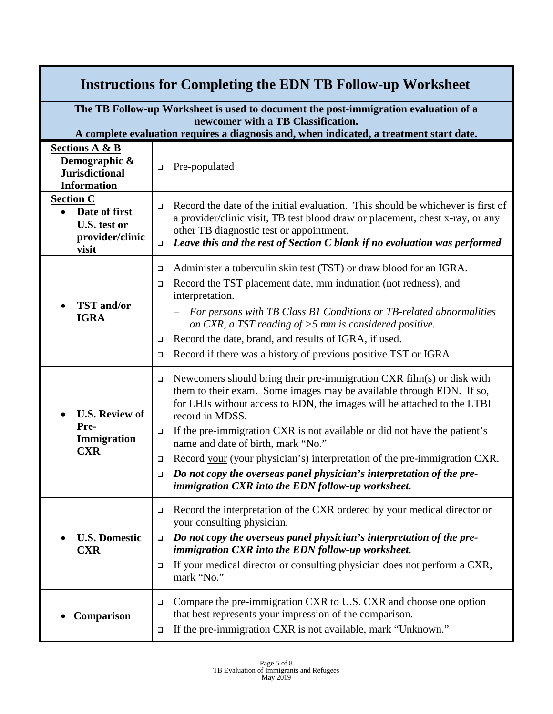<span id="page-5-0"></span>

| <b>Instructions for Completing the EDN TB Follow-up Worksheet</b>                                                         |                                                                                                                                                                                                                                                                                                                                                                                                                                                                                                                                                                                                              |  |  |
|---------------------------------------------------------------------------------------------------------------------------|--------------------------------------------------------------------------------------------------------------------------------------------------------------------------------------------------------------------------------------------------------------------------------------------------------------------------------------------------------------------------------------------------------------------------------------------------------------------------------------------------------------------------------------------------------------------------------------------------------------|--|--|
| The TB Follow-up Worksheet is used to document the post-immigration evaluation of a<br>newcomer with a TB Classification. |                                                                                                                                                                                                                                                                                                                                                                                                                                                                                                                                                                                                              |  |  |
|                                                                                                                           | A complete evaluation requires a diagnosis and, when indicated, a treatment start date.                                                                                                                                                                                                                                                                                                                                                                                                                                                                                                                      |  |  |
| <b>Sections A &amp; B</b><br>Demographic &<br><b>Jurisdictional</b><br><b>Information</b>                                 | Pre-populated<br>$\Box$                                                                                                                                                                                                                                                                                                                                                                                                                                                                                                                                                                                      |  |  |
| <b>Section C</b><br>Date of first<br>$\bullet$<br>U.S. test or<br>provider/clinic<br>visit                                | Record the date of the initial evaluation. This should be whichever is first of<br>$\Box$<br>a provider/clinic visit, TB test blood draw or placement, chest x-ray, or any<br>other TB diagnostic test or appointment.<br>Leave this and the rest of Section C blank if no evaluation was performed<br>□                                                                                                                                                                                                                                                                                                     |  |  |
| <b>TST</b> and/or<br><b>IGRA</b>                                                                                          | Administer a tuberculin skin test (TST) or draw blood for an IGRA.<br>❏<br>Record the TST placement date, mm induration (not redness), and<br>$\Box$<br>interpretation.<br>For persons with TB Class B1 Conditions or TB-related abnormalities<br>$\overline{\phantom{0}}$<br>on CXR, a TST reading of $\geq$ 5 mm is considered positive.<br>Record the date, brand, and results of IGRA, if used.<br>$\Box$<br>Record if there was a history of previous positive TST or IGRA<br>$\Box$                                                                                                                    |  |  |
| <b>U.S. Review of</b><br>Pre-<br>Immigration<br><b>CXR</b>                                                                | Newcomers should bring their pre-immigration CXR film(s) or disk with<br>$\Box$<br>them to their exam. Some images may be available through EDN. If so,<br>for LHJs without access to EDN, the images will be attached to the LTBI<br>record in MDSS.<br>If the pre-immigration CXR is not available or did not have the patient's<br>❏<br>name and date of birth, mark "No."<br>Record your (your physician's) interpretation of the pre-immigration CXR.<br>$\Box$<br>Do not copy the overseas panel physician's interpretation of the pre-<br>$\Box$<br>immigration CXR into the EDN follow-up worksheet. |  |  |
| <b>U.S. Domestic</b><br><b>CXR</b>                                                                                        | Record the interpretation of the CXR ordered by your medical director or<br>❏<br>your consulting physician.<br>Do not copy the overseas panel physician's interpretation of the pre-<br>$\Box$<br>immigration CXR into the EDN follow-up worksheet.<br>If your medical director or consulting physician does not perform a CXR,<br>$\Box$<br>mark "No."                                                                                                                                                                                                                                                      |  |  |
| Comparison                                                                                                                | Compare the pre-immigration CXR to U.S. CXR and choose one option<br>❏<br>that best represents your impression of the comparison.<br>If the pre-immigration CXR is not available, mark "Unknown."<br>❏                                                                                                                                                                                                                                                                                                                                                                                                       |  |  |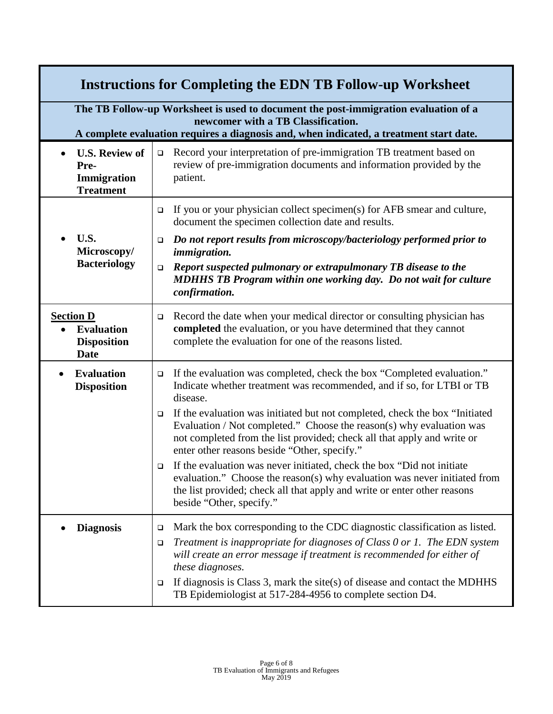| <b>Instructions for Completing the EDN TB Follow-up Worksheet</b>                                                                                                                                                    |                                                                                                                                                                                                                                                                                           |  |  |  |
|----------------------------------------------------------------------------------------------------------------------------------------------------------------------------------------------------------------------|-------------------------------------------------------------------------------------------------------------------------------------------------------------------------------------------------------------------------------------------------------------------------------------------|--|--|--|
| The TB Follow-up Worksheet is used to document the post-immigration evaluation of a<br>newcomer with a TB Classification.<br>A complete evaluation requires a diagnosis and, when indicated, a treatment start date. |                                                                                                                                                                                                                                                                                           |  |  |  |
| <b>U.S. Review of</b><br>Pre-<br>Immigration<br><b>Treatment</b>                                                                                                                                                     | Record your interpretation of pre-immigration TB treatment based on<br>$\Box$<br>review of pre-immigration documents and information provided by the<br>patient.                                                                                                                          |  |  |  |
|                                                                                                                                                                                                                      | If you or your physician collect specimen(s) for AFB smear and culture,<br>$\Box$<br>document the specimen collection date and results.                                                                                                                                                   |  |  |  |
| U.S.<br>Microscopy/                                                                                                                                                                                                  | Do not report results from microscopy/bacteriology performed prior to<br>$\Box$<br><i>immigration.</i>                                                                                                                                                                                    |  |  |  |
| <b>Bacteriology</b>                                                                                                                                                                                                  | Report suspected pulmonary or extrapulmonary TB disease to the<br>$\Box$<br><b>MDHHS TB Program within one working day. Do not wait for culture</b><br>confirmation.                                                                                                                      |  |  |  |
| <b>Section D</b><br><b>Evaluation</b><br><b>Disposition</b><br><b>Date</b>                                                                                                                                           | Record the date when your medical director or consulting physician has<br>$\Box$<br>completed the evaluation, or you have determined that they cannot<br>complete the evaluation for one of the reasons listed.                                                                           |  |  |  |
| <b>Evaluation</b><br>$\bullet$<br><b>Disposition</b>                                                                                                                                                                 | If the evaluation was completed, check the box "Completed evaluation."<br>$\Box$<br>Indicate whether treatment was recommended, and if so, for LTBI or TB<br>disease.                                                                                                                     |  |  |  |
|                                                                                                                                                                                                                      | If the evaluation was initiated but not completed, check the box "Initiated"<br>$\Box$<br>Evaluation / Not completed." Choose the reason(s) why evaluation was<br>not completed from the list provided; check all that apply and write or<br>enter other reasons beside "Other, specify." |  |  |  |
|                                                                                                                                                                                                                      | If the evaluation was never initiated, check the box "Did not initiate<br>$\Box$<br>evaluation." Choose the reason(s) why evaluation was never initiated from<br>the list provided; check all that apply and write or enter other reasons<br>beside "Other, specify."                     |  |  |  |
| <b>Diagnosis</b>                                                                                                                                                                                                     | Mark the box corresponding to the CDC diagnostic classification as listed.<br>$\Box$<br>Treatment is inappropriate for diagnoses of Class 0 or 1. The EDN system<br>□                                                                                                                     |  |  |  |
|                                                                                                                                                                                                                      | will create an error message if treatment is recommended for either of<br>these diagnoses.                                                                                                                                                                                                |  |  |  |
|                                                                                                                                                                                                                      | If diagnosis is Class 3, mark the site(s) of disease and contact the MDHHS<br>❏<br>TB Epidemiologist at 517-284-4956 to complete section D4.                                                                                                                                              |  |  |  |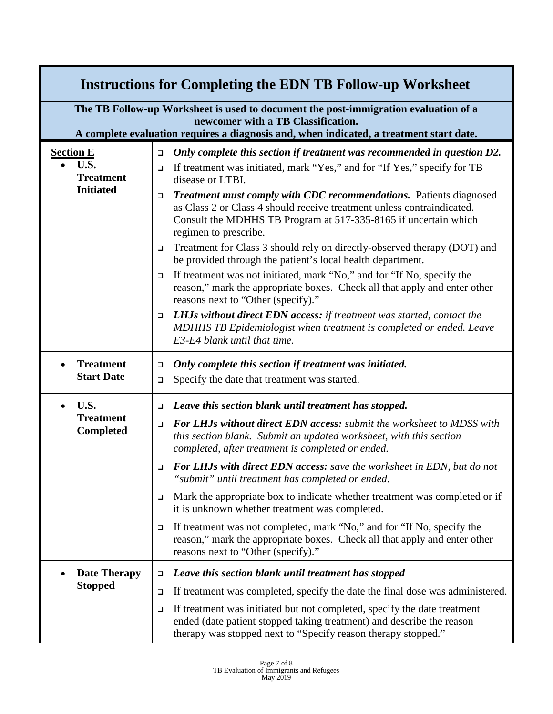|                  | <b>Instructions for Completing the EDN TB Follow-up Worksheet</b>                                                                                                                                                    |                  |                                                                                                                                                                                                                                          |  |
|------------------|----------------------------------------------------------------------------------------------------------------------------------------------------------------------------------------------------------------------|------------------|------------------------------------------------------------------------------------------------------------------------------------------------------------------------------------------------------------------------------------------|--|
|                  | The TB Follow-up Worksheet is used to document the post-immigration evaluation of a<br>newcomer with a TB Classification.<br>A complete evaluation requires a diagnosis and, when indicated, a treatment start date. |                  |                                                                                                                                                                                                                                          |  |
| <b>Section E</b> |                                                                                                                                                                                                                      | $\Box$           | Only complete this section if treatment was recommended in question D2.                                                                                                                                                                  |  |
|                  | U.S.<br><b>Treatment</b><br><b>Initiated</b>                                                                                                                                                                         | $\Box$           | If treatment was initiated, mark "Yes," and for "If Yes," specify for TB<br>disease or LTBI.                                                                                                                                             |  |
|                  |                                                                                                                                                                                                                      | $\Box$           | Treatment must comply with CDC recommendations. Patients diagnosed<br>as Class 2 or Class 4 should receive treatment unless contraindicated.<br>Consult the MDHHS TB Program at 517-335-8165 if uncertain which<br>regimen to prescribe. |  |
|                  |                                                                                                                                                                                                                      | ❏                | Treatment for Class 3 should rely on directly-observed therapy (DOT) and<br>be provided through the patient's local health department.                                                                                                   |  |
|                  |                                                                                                                                                                                                                      | □                | If treatment was not initiated, mark "No," and for "If No, specify the<br>reason," mark the appropriate boxes. Check all that apply and enter other<br>reasons next to "Other (specify)."                                                |  |
|                  |                                                                                                                                                                                                                      | $\Box$           | <b>LHJs without direct EDN access:</b> if treatment was started, contact the<br>MDHHS TB Epidemiologist when treatment is completed or ended. Leave<br>E3-E4 blank until that time.                                                      |  |
|                  | <b>Treatment</b><br><b>Start Date</b>                                                                                                                                                                                | $\Box$<br>$\Box$ | Only complete this section if treatment was initiated.<br>Specify the date that treatment was started.                                                                                                                                   |  |
|                  | U.S.<br><b>Treatment</b><br><b>Completed</b>                                                                                                                                                                         | $\Box$           | Leave this section blank until treatment has stopped.                                                                                                                                                                                    |  |
|                  |                                                                                                                                                                                                                      | $\Box$           | <b>For LHJs without direct EDN access:</b> submit the worksheet to MDSS with<br>this section blank. Submit an updated worksheet, with this section<br>completed, after treatment is completed or ended.                                  |  |
|                  |                                                                                                                                                                                                                      | □                | <b>For LHJs with direct EDN access:</b> save the worksheet in EDN, but do not<br>"submit" until treatment has completed or ended.                                                                                                        |  |
|                  |                                                                                                                                                                                                                      | ❏                | Mark the appropriate box to indicate whether treatment was completed or if<br>it is unknown whether treatment was completed.                                                                                                             |  |
|                  |                                                                                                                                                                                                                      | ❏                | If treatment was not completed, mark "No," and for "If No, specify the<br>reason," mark the appropriate boxes. Check all that apply and enter other<br>reasons next to "Other (specify)."                                                |  |
|                  | <b>Date Therapy</b>                                                                                                                                                                                                  | □                | Leave this section blank until treatment has stopped                                                                                                                                                                                     |  |
|                  | <b>Stopped</b>                                                                                                                                                                                                       | □                | If treatment was completed, specify the date the final dose was administered.                                                                                                                                                            |  |
|                  |                                                                                                                                                                                                                      | □                | If treatment was initiated but not completed, specify the date treatment<br>ended (date patient stopped taking treatment) and describe the reason<br>therapy was stopped next to "Specify reason therapy stopped."                       |  |